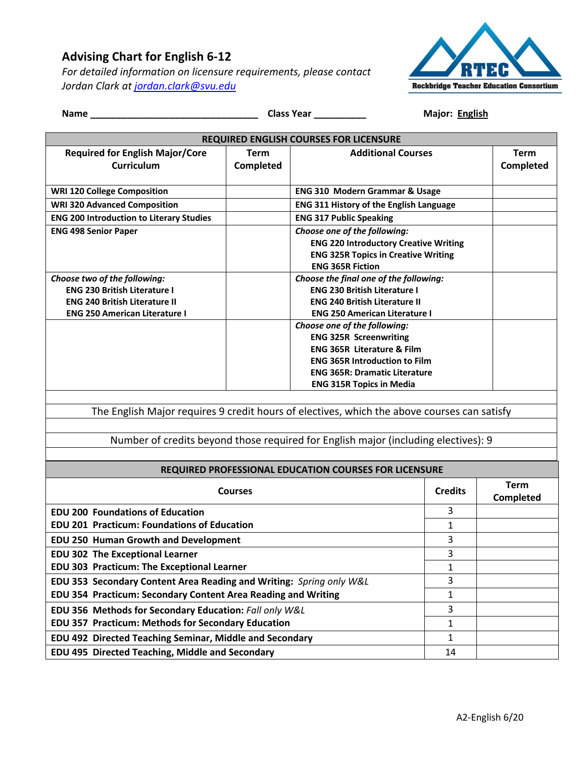## **Advising Chart for English 6-12**

*For detailed information on licensure requirements, please contact Jordan Clark at jordan.clark@svu.edu*



| <b>REQUIRED ENGLISH COURSES FOR LICENSURE</b>                                                                       |                |                                                                       |                   |                  |  |
|---------------------------------------------------------------------------------------------------------------------|----------------|-----------------------------------------------------------------------|-------------------|------------------|--|
| <b>Required for English Major/Core</b>                                                                              | Term           | <b>Additional Courses</b>                                             |                   | <b>Term</b>      |  |
| <b>Curriculum</b>                                                                                                   | Completed      |                                                                       |                   | Completed        |  |
|                                                                                                                     |                |                                                                       |                   |                  |  |
| <b>WRI 120 College Composition</b>                                                                                  |                | <b>ENG 310 Modern Grammar &amp; Usage</b>                             |                   |                  |  |
| <b>WRI 320 Advanced Composition</b>                                                                                 |                | <b>ENG 311 History of the English Language</b>                        |                   |                  |  |
| <b>ENG 200 Introduction to Literary Studies</b>                                                                     |                | <b>ENG 317 Public Speaking</b>                                        |                   |                  |  |
| <b>ENG 498 Senior Paper</b>                                                                                         |                | Choose one of the following:                                          |                   |                  |  |
|                                                                                                                     |                | <b>ENG 220 Introductory Creative Writing</b>                          |                   |                  |  |
|                                                                                                                     |                | <b>ENG 325R Topics in Creative Writing</b><br><b>ENG 365R Fiction</b> |                   |                  |  |
| Choose two of the following:                                                                                        |                | Choose the final one of the following:                                |                   |                  |  |
| <b>ENG 230 British Literature I</b>                                                                                 |                | <b>ENG 230 British Literature I</b>                                   |                   |                  |  |
| <b>ENG 240 British Literature II</b>                                                                                |                | <b>ENG 240 British Literature II</b>                                  |                   |                  |  |
| <b>ENG 250 American Literature I</b>                                                                                |                | <b>ENG 250 American Literature I</b>                                  |                   |                  |  |
|                                                                                                                     |                | Choose one of the following:<br><b>ENG 325R Screenwriting</b>         |                   |                  |  |
|                                                                                                                     |                | <b>ENG 365R Literature &amp; Film</b>                                 |                   |                  |  |
|                                                                                                                     |                | <b>ENG 365R Introduction to Film</b>                                  |                   |                  |  |
|                                                                                                                     |                | <b>ENG 365R: Dramatic Literature</b>                                  |                   |                  |  |
|                                                                                                                     |                | <b>ENG 315R Topics in Media</b>                                       |                   |                  |  |
|                                                                                                                     |                |                                                                       |                   |                  |  |
| The English Major requires 9 credit hours of electives, which the above courses can satisfy                         |                |                                                                       |                   |                  |  |
|                                                                                                                     |                |                                                                       |                   |                  |  |
| Number of credits beyond those required for English major (including electives): 9                                  |                |                                                                       |                   |                  |  |
|                                                                                                                     |                |                                                                       |                   |                  |  |
|                                                                                                                     |                | REQUIRED PROFESSIONAL EDUCATION COURSES FOR LICENSURE                 |                   |                  |  |
|                                                                                                                     | <b>Courses</b> |                                                                       | <b>Credits</b>    | <b>Term</b>      |  |
|                                                                                                                     |                |                                                                       |                   | <b>Completed</b> |  |
| <b>EDU 200 Foundations of Education</b>                                                                             |                | 3                                                                     |                   |                  |  |
| EDU 201 Practicum: Foundations of Education                                                                         |                |                                                                       | $\mathbf{1}$      |                  |  |
| EDU 250 Human Growth and Development                                                                                |                |                                                                       | 3                 |                  |  |
| <b>EDU 302 The Exceptional Learner</b>                                                                              |                |                                                                       | 3                 |                  |  |
| <b>EDU 303 Practicum: The Exceptional Learner</b>                                                                   |                |                                                                       | 1                 |                  |  |
| EDU 353 Secondary Content Area Reading and Writing: Spring only W&L                                                 |                | 3                                                                     |                   |                  |  |
| EDU 354 Practicum: Secondary Content Area Reading and Writing                                                       |                |                                                                       | 1                 |                  |  |
| EDU 356 Methods for Secondary Education: Fall only W&L<br><b>EDU 357 Practicum: Methods for Secondary Education</b> |                |                                                                       | 3<br>$\mathbf{1}$ |                  |  |
| EDU 492 Directed Teaching Seminar, Middle and Secondary                                                             |                |                                                                       | $\mathbf{1}$      |                  |  |
| EDU 495 Directed Teaching, Middle and Secondary                                                                     |                |                                                                       | 14                |                  |  |
|                                                                                                                     |                |                                                                       |                   |                  |  |